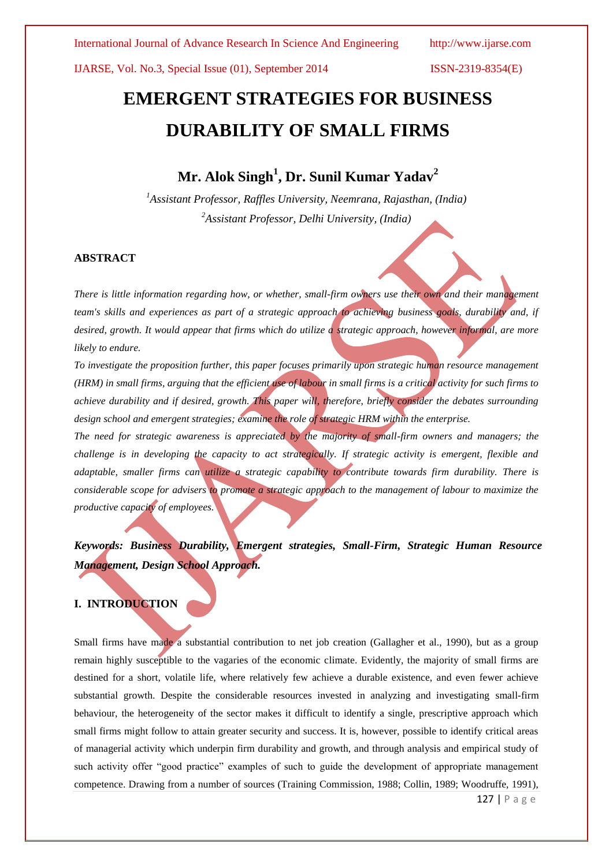# **EMERGENT STRATEGIES FOR BUSINESS DURABILITY OF SMALL FIRMS**

# **Mr. Alok Singh<sup>1</sup> , Dr. Sunil Kumar Yadav<sup>2</sup>**

*<sup>1</sup>Assistant Professor, Raffles University, Neemrana, Rajasthan, (India) <sup>2</sup>Assistant Professor, Delhi University, (India)*

# **ABSTRACT**

*There is little information regarding how, or whether, small-firm owners use their own and their management team's skills and experiences as part of a strategic approach to achieving business goals, durability and, if desired, growth. It would appear that firms which do utilize a strategic approach, however informal, are more likely to endure.* 

*To investigate the proposition further, this paper focuses primarily upon strategic human resource management (HRM) in small firms, arguing that the efficient use of labour in small firms is a critical activity for such firms to achieve durability and if desired, growth. This paper will, therefore, briefly consider the debates surrounding design school and emergent strategies; examine the role of strategic HRM within the enterprise.*

*The need for strategic awareness is appreciated by the majority of small-firm owners and managers; the challenge is in developing the capacity to act strategically. If strategic activity is emergent, flexible and adaptable, smaller firms can utilize a strategic capability to contribute towards firm durability. There is considerable scope for advisers to promote a strategic approach to the management of labour to maximize the productive capacity of employees.*

*Keywords: Business Durability, Emergent strategies, Small-Firm, Strategic Human Resource Management, Design School Approach.*

# **I. INTRODUCTION**

Small firms have made a substantial contribution to net job creation (Gallagher et al., 1990), but as a group remain highly susceptible to the vagaries of the economic climate. Evidently, the majority of small firms are destined for a short, volatile life, where relatively few achieve a durable existence, and even fewer achieve substantial growth. Despite the considerable resources invested in analyzing and investigating small-firm behaviour, the heterogeneity of the sector makes it difficult to identify a single, prescriptive approach which small firms might follow to attain greater security and success. It is, however, possible to identify critical areas of managerial activity which underpin firm durability and growth, and through analysis and empirical study of such activity offer "good practice" examples of such to guide the development of appropriate management competence. Drawing from a number of sources (Training Commission, 1988; Collin, 1989; Woodruffe, 1991),

127 | P a g e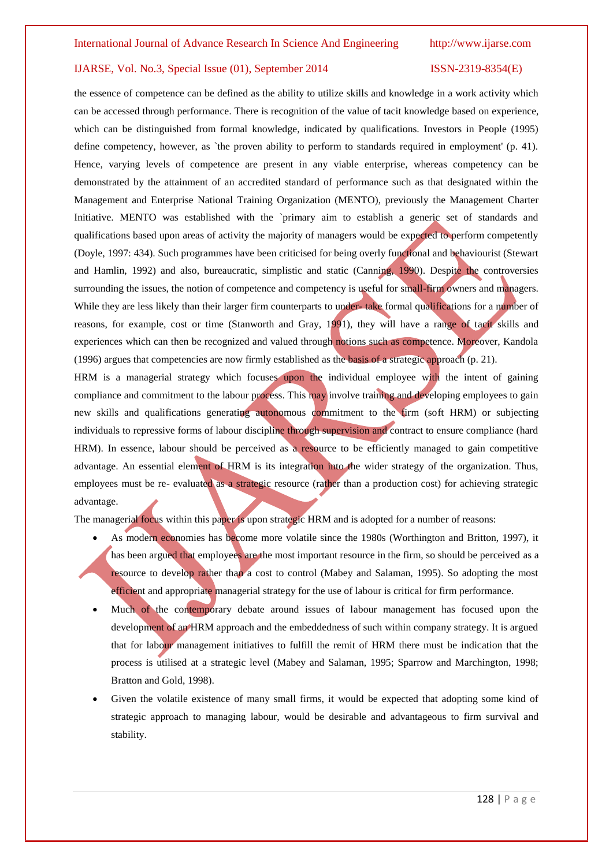the essence of competence can be defined as the ability to utilize skills and knowledge in a work activity which can be accessed through performance. There is recognition of the value of tacit knowledge based on experience, which can be distinguished from formal knowledge, indicated by qualifications. Investors in People (1995) define competency, however, as `the proven ability to perform to standards required in employment' (p. 41). Hence, varying levels of competence are present in any viable enterprise, whereas competency can be demonstrated by the attainment of an accredited standard of performance such as that designated within the Management and Enterprise National Training Organization (MENTO), previously the Management Charter Initiative. MENTO was established with the `primary aim to establish a generic set of standards and qualifications based upon areas of activity the majority of managers would be expected to perform competently (Doyle, 1997: 434). Such programmes have been criticised for being overly functional and behaviourist (Stewart and Hamlin, 1992) and also, bureaucratic, simplistic and static (Canning, 1990). Despite the controversies surrounding the issues, the notion of competence and competency is useful for small-firm owners and managers. While they are less likely than their larger firm counterparts to under- take formal qualifications for a number of reasons, for example, cost or time (Stanworth and Gray, 1991), they will have a range of tacit skills and experiences which can then be recognized and valued through notions such as competence. Moreover, Kandola (1996) argues that competencies are now firmly established as the basis of a strategic approach (p. 21).

HRM is a managerial strategy which focuses upon the individual employee with the intent of gaining compliance and commitment to the labour process. This may involve training and developing employees to gain new skills and qualifications generating autonomous commitment to the firm (soft HRM) or subjecting individuals to repressive forms of labour discipline through supervision and contract to ensure compliance (hard HRM). In essence, labour should be perceived as a resource to be efficiently managed to gain competitive advantage. An essential element of HRM is its integration into the wider strategy of the organization. Thus, employees must be re- evaluated as a strategic resource (rather than a production cost) for achieving strategic advantage.

The managerial focus within this paper is upon strategic HRM and is adopted for a number of reasons:

- As modern economies has become more volatile since the 1980s (Worthington and Britton, 1997), it has been argued that employees are the most important resource in the firm, so should be perceived as a resource to develop rather than a cost to control (Mabey and Salaman, 1995). So adopting the most efficient and appropriate managerial strategy for the use of labour is critical for firm performance.
- Much of the contemporary debate around issues of labour management has focused upon the development of an HRM approach and the embeddedness of such within company strategy. It is argued that for labour management initiatives to fulfill the remit of HRM there must be indication that the process is utilised at a strategic level (Mabey and Salaman, 1995; Sparrow and Marchington, 1998; Bratton and Gold, 1998).
- Given the volatile existence of many small firms, it would be expected that adopting some kind of strategic approach to managing labour, would be desirable and advantageous to firm survival and stability.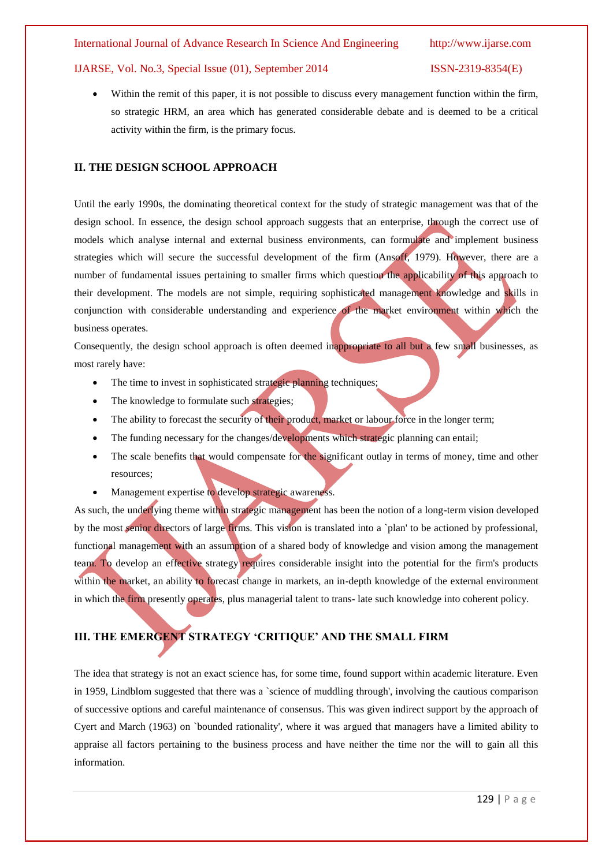Within the remit of this paper, it is not possible to discuss every management function within the firm, so strategic HRM, an area which has generated considerable debate and is deemed to be a critical activity within the firm, is the primary focus.

# **II. THE DESIGN SCHOOL APPROACH**

Until the early 1990s, the dominating theoretical context for the study of strategic management was that of the design school. In essence, the design school approach suggests that an enterprise, through the correct use of models which analyse internal and external business environments, can formulate and implement business strategies which will secure the successful development of the firm (Ansoff, 1979). However, there are a number of fundamental issues pertaining to smaller firms which question the applicability of this approach to their development. The models are not simple, requiring sophisticated management knowledge and skills in conjunction with considerable understanding and experience of the market environment within which the business operates.

Consequently, the design school approach is often deemed inappropriate to all but a few small businesses, as most rarely have:

- The time to invest in sophisticated strategic planning techniques;
- The knowledge to formulate such strategies;
- The ability to forecast the security of their product, market or labour force in the longer term;
- The funding necessary for the changes/developments which strategic planning can entail;
- The scale benefits that would compensate for the significant outlay in terms of money, time and other resources;
- Management expertise to develop strategic awareness.

As such, the underlying theme within strategic management has been the notion of a long-term vision developed by the most senior directors of large firms. This vision is translated into a `plan' to be actioned by professional, functional management with an assumption of a shared body of knowledge and vision among the management team. To develop an effective strategy requires considerable insight into the potential for the firm's products within the market, an ability to forecast change in markets, an in-depth knowledge of the external environment in which the firm presently operates, plus managerial talent to trans- late such knowledge into coherent policy.

# **III. THE EMERGENT STRATEGY 'CRITIQUE' AND THE SMALL FIRM**

The idea that strategy is not an exact science has, for some time, found support within academic literature. Even in 1959, Lindblom suggested that there was a `science of muddling through', involving the cautious comparison of successive options and careful maintenance of consensus. This was given indirect support by the approach of Cyert and March (1963) on `bounded rationality', where it was argued that managers have a limited ability to appraise all factors pertaining to the business process and have neither the time nor the will to gain all this information.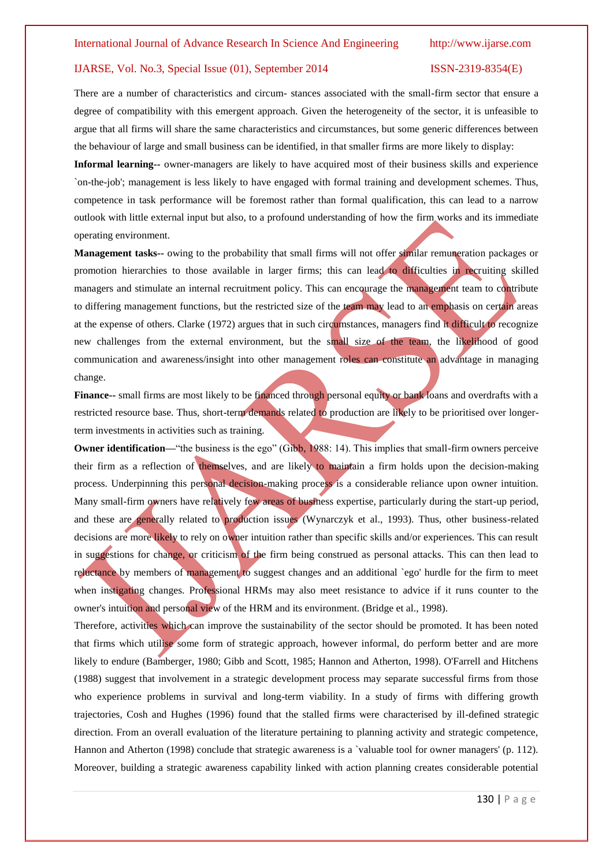There are a number of characteristics and circum- stances associated with the small-firm sector that ensure a degree of compatibility with this emergent approach. Given the heterogeneity of the sector, it is unfeasible to argue that all firms will share the same characteristics and circumstances, but some generic differences between the behaviour of large and small business can be identified, in that smaller firms are more likely to display:

**Informal learning--** owner-managers are likely to have acquired most of their business skills and experience `on-the-job'; management is less likely to have engaged with formal training and development schemes. Thus, competence in task performance will be foremost rather than formal qualification, this can lead to a narrow outlook with little external input but also, to a profound understanding of how the firm works and its immediate operating environment.

**Management tasks--** owing to the probability that small firms will not offer similar remuneration packages or promotion hierarchies to those available in larger firms; this can lead to difficulties in recruiting skilled managers and stimulate an internal recruitment policy. This can encourage the management team to contribute to differing management functions, but the restricted size of the team may lead to an emphasis on certain areas at the expense of others. Clarke (1972) argues that in such circumstances, managers find it difficult to recognize new challenges from the external environment, but the small size of the team, the likelihood of good communication and awareness/insight into other management roles can constitute an advantage in managing change.

**Finance--** small firms are most likely to be financed through personal equity or bank loans and overdrafts with a restricted resource base. Thus, short-term demands related to production are likely to be prioritised over longerterm investments in activities such as training.

**Owner identification—"the business is the ego" (Gibb, 1988: 14). This implies that small-firm owners perceive** their firm as a reflection of themselves, and are likely to maintain a firm holds upon the decision-making process. Underpinning this personal decision-making process is a considerable reliance upon owner intuition. Many small-firm owners have relatively few areas of business expertise, particularly during the start-up period, and these are generally related to production issues (Wynarczyk et al., 1993). Thus, other business-related decisions are more likely to rely on owner intuition rather than specific skills and/or experiences. This can result in suggestions for change, or criticism of the firm being construed as personal attacks. This can then lead to reluctance by members of management to suggest changes and an additional `ego' hurdle for the firm to meet when instigating changes. Professional HRMs may also meet resistance to advice if it runs counter to the owner's intuition and personal view of the HRM and its environment. (Bridge et al., 1998).

Therefore, activities which can improve the sustainability of the sector should be promoted. It has been noted that firms which utilise some form of strategic approach, however informal, do perform better and are more likely to endure (Bamberger, 1980; Gibb and Scott, 1985; Hannon and Atherton, 1998). O'Farrell and Hitchens (1988) suggest that involvement in a strategic development process may separate successful firms from those who experience problems in survival and long-term viability. In a study of firms with differing growth trajectories, Cosh and Hughes (1996) found that the stalled firms were characterised by ill-defined strategic direction. From an overall evaluation of the literature pertaining to planning activity and strategic competence, Hannon and Atherton (1998) conclude that strategic awareness is a 'valuable tool for owner managers' (p. 112). Moreover, building a strategic awareness capability linked with action planning creates considerable potential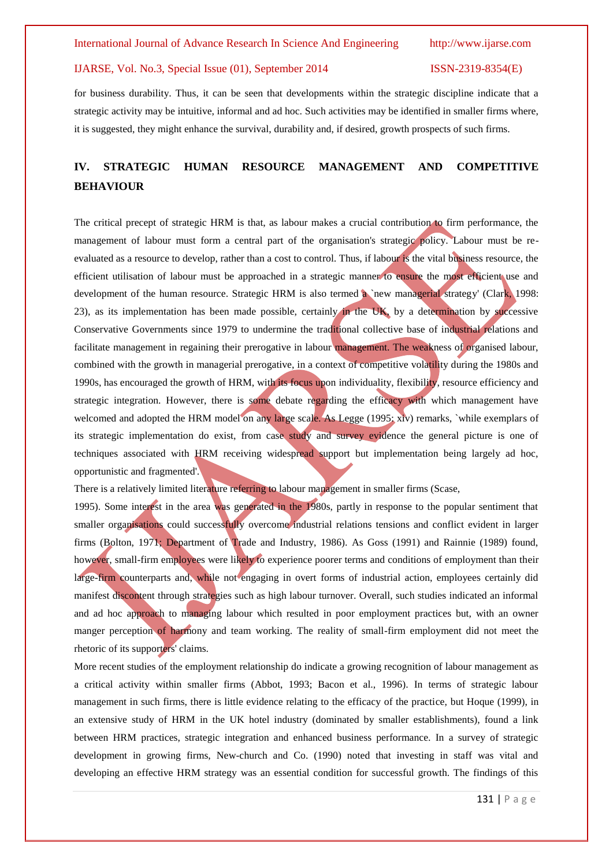for business durability. Thus, it can be seen that developments within the strategic discipline indicate that a strategic activity may be intuitive, informal and ad hoc. Such activities may be identified in smaller firms where, it is suggested, they might enhance the survival, durability and, if desired, growth prospects of such firms.

# **IV. STRATEGIC HUMAN RESOURCE MANAGEMENT AND COMPETITIVE BEHAVIOUR**

The critical precept of strategic HRM is that, as labour makes a crucial contribution to firm performance, the management of labour must form a central part of the organisation's strategic policy. Labour must be reevaluated as a resource to develop, rather than a cost to control. Thus, if labour is the vital business resource, the efficient utilisation of labour must be approached in a strategic manner to ensure the most efficient use and development of the human resource. Strategic HRM is also termed a `new managerial strategy' (Clark, 1998: 23), as its implementation has been made possible, certainly in the UK, by a determination by successive Conservative Governments since 1979 to undermine the traditional collective base of industrial relations and facilitate management in regaining their prerogative in labour management. The weakness of organised labour, combined with the growth in managerial prerogative, in a context of competitive volatility during the 1980s and 1990s, has encouraged the growth of HRM, with its focus upon individuality, flexibility, resource efficiency and strategic integration. However, there is some debate regarding the efficacy with which management have welcomed and adopted the HRM model on any large scale. As Legge (1995: xiv) remarks, `while exemplars of its strategic implementation do exist, from case study and survey evidence the general picture is one of techniques associated with HRM receiving widespread support but implementation being largely ad hoc, opportunistic and fragmented'.

There is a relatively limited literature referring to labour management in smaller firms (Scase,

1995). Some interest in the area was generated in the 1980s, partly in response to the popular sentiment that smaller organisations could successfully overcome industrial relations tensions and conflict evident in larger firms (Bolton, 1971; Department of Trade and Industry, 1986). As Goss (1991) and Rainnie (1989) found, however, small-firm employees were likely to experience poorer terms and conditions of employment than their large-firm counterparts and, while not engaging in overt forms of industrial action, employees certainly did manifest discontent through strategies such as high labour turnover. Overall, such studies indicated an informal and ad hoc approach to managing labour which resulted in poor employment practices but, with an owner manger perception of harmony and team working. The reality of small-firm employment did not meet the rhetoric of its supporters' claims.

More recent studies of the employment relationship do indicate a growing recognition of labour management as a critical activity within smaller firms (Abbot, 1993; Bacon et al., 1996). In terms of strategic labour management in such firms, there is little evidence relating to the efficacy of the practice, but Hoque (1999), in an extensive study of HRM in the UK hotel industry (dominated by smaller establishments), found a link between HRM practices, strategic integration and enhanced business performance. In a survey of strategic development in growing firms, New-church and Co. (1990) noted that investing in staff was vital and developing an effective HRM strategy was an essential condition for successful growth. The findings of this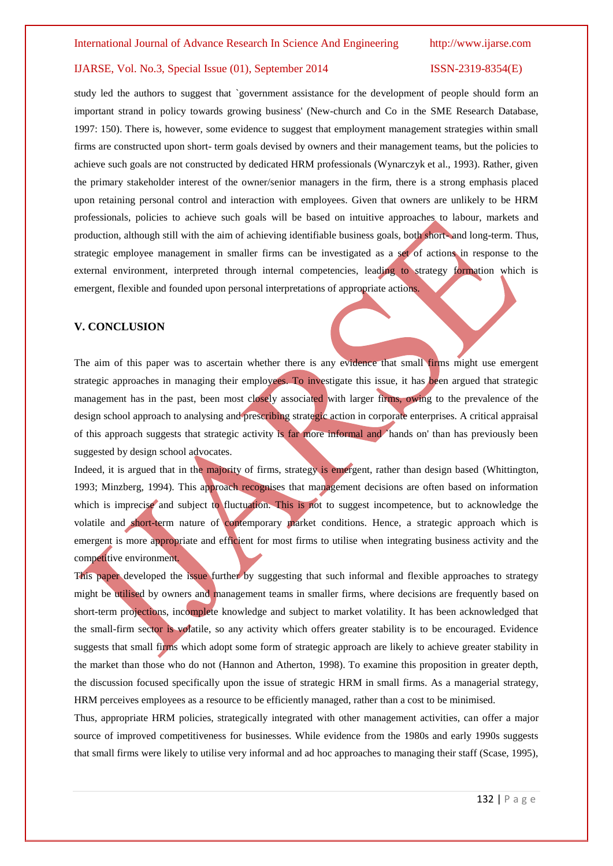study led the authors to suggest that `government assistance for the development of people should form an important strand in policy towards growing business' (New-church and Co in the SME Research Database, 1997: 150). There is, however, some evidence to suggest that employment management strategies within small firms are constructed upon short- term goals devised by owners and their management teams, but the policies to achieve such goals are not constructed by dedicated HRM professionals (Wynarczyk et al., 1993). Rather, given the primary stakeholder interest of the owner/senior managers in the firm, there is a strong emphasis placed upon retaining personal control and interaction with employees. Given that owners are unlikely to be HRM professionals, policies to achieve such goals will be based on intuitive approaches to labour, markets and production, although still with the aim of achieving identifiable business goals, both short- and long-term. Thus, strategic employee management in smaller firms can be investigated as a set of actions in response to the external environment, interpreted through internal competencies, leading to strategy formation which is emergent, flexible and founded upon personal interpretations of appropriate actions.

# **V. CONCLUSION**

The aim of this paper was to ascertain whether there is any evidence that small firms might use emergent strategic approaches in managing their employees. To investigate this issue, it has been argued that strategic management has in the past, been most closely associated with larger firms, owing to the prevalence of the design school approach to analysing and prescribing strategic action in corporate enterprises. A critical appraisal of this approach suggests that strategic activity is far more informal and `hands on' than has previously been suggested by design school advocates.

Indeed, it is argued that in the majority of firms, strategy is emergent, rather than design based (Whittington, 1993; Minzberg, 1994). This approach recognises that management decisions are often based on information which is imprecise and subject to fluctuation. This is not to suggest incompetence, but to acknowledge the volatile and short-term nature of contemporary market conditions. Hence, a strategic approach which is emergent is more appropriate and efficient for most firms to utilise when integrating business activity and the competitive environment.

This paper developed the issue further by suggesting that such informal and flexible approaches to strategy might be utilised by owners and management teams in smaller firms, where decisions are frequently based on short-term projections, incomplete knowledge and subject to market volatility. It has been acknowledged that the small-firm sector is volatile, so any activity which offers greater stability is to be encouraged. Evidence suggests that small firms which adopt some form of strategic approach are likely to achieve greater stability in the market than those who do not (Hannon and Atherton, 1998). To examine this proposition in greater depth, the discussion focused specifically upon the issue of strategic HRM in small firms. As a managerial strategy, HRM perceives employees as a resource to be efficiently managed, rather than a cost to be minimised.

Thus, appropriate HRM policies, strategically integrated with other management activities, can offer a major source of improved competitiveness for businesses. While evidence from the 1980s and early 1990s suggests that small firms were likely to utilise very informal and ad hoc approaches to managing their staff (Scase, 1995),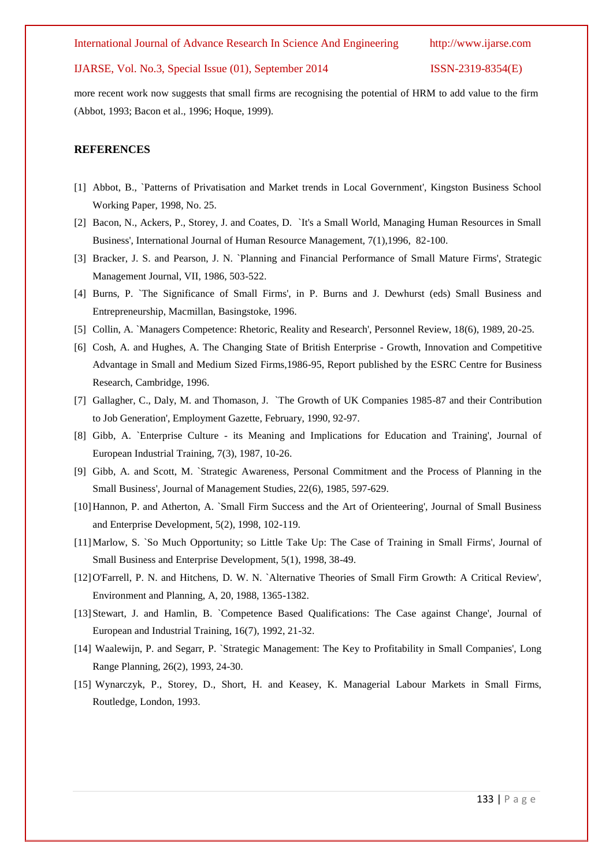International Journal of Advance Research In Science And Engineering http://www.ijarse.com

### IJARSE, Vol. No.3, Special Issue (01), September 2014 ISSN-2319-8354(E)

more recent work now suggests that small firms are recognising the potential of HRM to add value to the firm (Abbot, 1993; Bacon et al., 1996; Hoque, 1999).

## **REFERENCES**

- [1] Abbot, B., `Patterns of Privatisation and Market trends in Local Government', Kingston Business School Working Paper, 1998, No. 25.
- [2] Bacon, N., Ackers, P., Storey, J. and Coates, D. `It's a Small World, Managing Human Resources in Small Business', International Journal of Human Resource Management, 7(1),1996, 82-100.
- [3] Bracker, J. S. and Pearson, J. N. `Planning and Financial Performance of Small Mature Firms', Strategic Management Journal, VII, 1986, 503-522.
- [4] Burns, P. `The Significance of Small Firms', in P. Burns and J. Dewhurst (eds) Small Business and Entrepreneurship, Macmillan, Basingstoke, 1996.
- [5] Collin, A. `Managers Competence: Rhetoric, Reality and Research', Personnel Review, 18(6), 1989, 20-25.
- [6] Cosh, A. and Hughes, A. The Changing State of British Enterprise Growth, Innovation and Competitive Advantage in Small and Medium Sized Firms,1986-95, Report published by the ESRC Centre for Business Research, Cambridge, 1996.
- [7] Gallagher, C., Daly, M. and Thomason, J. `The Growth of UK Companies 1985-87 and their Contribution to Job Generation', Employment Gazette, February, 1990, 92-97.
- [8] Gibb, A. `Enterprise Culture its Meaning and Implications for Education and Training', Journal of European Industrial Training, 7(3), 1987, 10-26.
- [9] Gibb, A. and Scott, M. `Strategic Awareness, Personal Commitment and the Process of Planning in the Small Business', Journal of Management Studies, 22(6), 1985, 597-629.
- [10]Hannon, P. and Atherton, A. `Small Firm Success and the Art of Orienteering', Journal of Small Business and Enterprise Development, 5(2), 1998, 102-119.
- [11]Marlow, S. `So Much Opportunity; so Little Take Up: The Case of Training in Small Firms', Journal of Small Business and Enterprise Development, 5(1), 1998, 38-49.
- [12]O'Farrell, P. N. and Hitchens, D. W. N. `Alternative Theories of Small Firm Growth: A Critical Review', Environment and Planning, A, 20, 1988, 1365-1382.
- [13]Stewart, J. and Hamlin, B. `Competence Based Qualifications: The Case against Change', Journal of European and Industrial Training, 16(7), 1992, 21-32.
- [14] Waalewijn, P. and Segarr, P. `Strategic Management: The Key to Profitability in Small Companies', Long Range Planning, 26(2), 1993, 24-30.
- [15] Wynarczyk, P., Storey, D., Short, H. and Keasey, K. Managerial Labour Markets in Small Firms, Routledge, London, 1993.